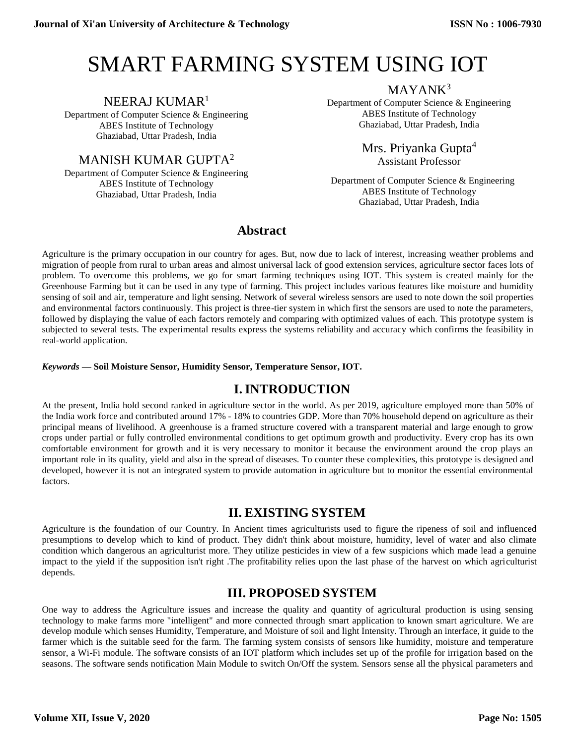# SMART FARMING SYSTEM USING IOT

### NEERAJ KUMAR<sup>1</sup>

Department of Computer Science & Engineering ABES Institute of Technology Ghaziabad, Uttar Pradesh, India

MANISH KUMAR GUPTA<sup>2</sup>

Department of Computer Science & Engineering ABES Institute of Technology Ghaziabad, Uttar Pradesh, India

MAYANK<sup>3</sup>

Department of Computer Science & Engineering ABES Institute of Technology Ghaziabad, Uttar Pradesh, India

> Mrs. Priyanka Gupta<sup>4</sup> Assistant Professor

 Department of Computer Science & Engineering ABES Institute of Technology Ghaziabad, Uttar Pradesh, India

# **Abstract**

Agriculture is the primary occupation in our country for ages. But, now due to lack of interest, increasing weather problems and migration of people from rural to urban areas and almost universal lack of good extension services, agriculture sector faces lots of problem. To overcome this problems, we go for smart farming techniques using IOT. This system is created mainly for the Greenhouse Farming but it can be used in any type of farming. This project includes various features like moisture and humidity sensing of soil and air, temperature and light sensing. Network of several wireless sensors are used to note down the soil properties and environmental factors continuously. This project is three-tier system in which first the sensors are used to note the parameters, followed by displaying the value of each factors remotely and comparing with optimized values of each. This prototype system is subjected to several tests. The experimental results express the systems reliability and accuracy which confirms the feasibility in real-world application.

#### *Keywords —* **Soil Moisture Sensor, Humidity Sensor, Temperature Sensor, IOT.**

# **I.INTRODUCTION**

At the present, India hold second ranked in agriculture sector in the world. As per 2019, agriculture employed more than 50% of the India work force and contributed around 17% - 18% to countries GDP. More than 70% household depend on agriculture as their principal means of livelihood. A greenhouse is a framed structure covered with a transparent material and large enough to grow crops under partial or fully controlled environmental conditions to get optimum growth and productivity. Every crop has its own comfortable environment for growth and it is very necessary to monitor it because the environment around the crop plays an important role in its quality, yield and also in the spread of diseases. To counter these complexities, this prototype is designed and developed, however it is not an integrated system to provide automation in agriculture but to monitor the essential environmental factors.

# **II. EXISTING SYSTEM**

Agriculture is the foundation of our Country. In Ancient times agriculturists used to figure the ripeness of soil and influenced presumptions to develop which to kind of product. They didn't think about moisture, humidity, level of water and also climate condition which dangerous an agriculturist more. They utilize pesticides in view of a few suspicions which made lead a genuine impact to the yield if the supposition isn't right .The profitability relies upon the last phase of the harvest on which agriculturist depends.

# **III. PROPOSED SYSTEM**

One way to address the Agriculture issues and increase the quality and quantity of agricultural production is using sensing technology to make farms more "intelligent" and more connected through smart application to known smart agriculture. We are develop module which senses Humidity, Temperature, and Moisture of soil and light Intensity. Through an interface, it guide to the farmer which is the suitable seed for the farm. The farming system consists of sensors like humidity, moisture and temperature sensor, a Wi-Fi module. The software consists of an IOT platform which includes set up of the profile for irrigation based on the seasons. The software sends notification Main Module to switch On/Off the system. Sensors sense all the physical parameters and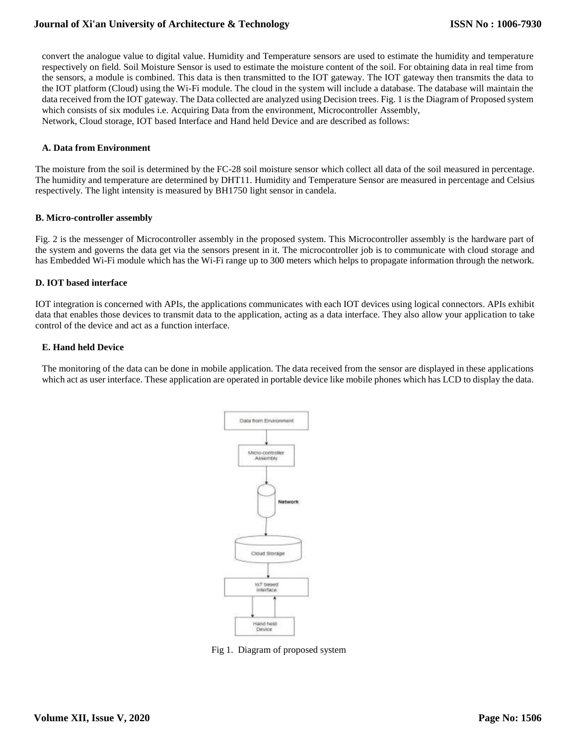#### **Journal of Xi'an University of Architecture & Technology**

convert the analogue value to digital value. Humidity and Temperature sensors are used to estimate the humidity and temperature respectively on field. Soil Moisture Sensor is used to estimate the moisture content of the soil. For obtaining data in real time from the sensors, a module is combined. This data is then transmitted to the IOT gateway. The IOT gateway then transmits the data to the IOT platform (Cloud) using the Wi-Fi module. The cloud in the system will include a database. The database will maintain the data received from the IOT gateway. The Data collected are analyzed using Decision trees. Fig. 1 is the Diagram of Proposed system which consists of six modules i.e. Acquiring Data from the environment, Microcontroller Assembly, Network, Cloud storage, IOT based Interface and Hand held Device and are described as follows:

#### **A. Data from Environment**

The moisture from the soil is determined by the FC-28 soil moisture sensor which collect all data of the soil measured in percentage. The humidity and temperature are determined by DHT11. Humidity and Temperature Sensor are measured in percentage and Celsius respectively. The light intensity is measured by BH1750 light sensor in candela.

#### **B. Micro-controller assembly**

Fig. 2 is the messenger of Microcontroller assembly in the proposed system. This Microcontroller assembly is the hardware part of the system and governs the data get via the sensors present in it. The microcontroller job is to communicate with cloud storage and has Embedded Wi-Fi module which has the Wi-Fi range up to 300 meters which helps to propagate information through the network.

#### **D. IOT based interface**

IOT integration is concerned with APIs, the applications communicates with each IOT devices using logical connectors. APIs exhibit data that enables those devices to transmit data to the application, acting as a data interface. They also allow your application to take control of the device and act as a function interface.

#### **E. Hand held Device**

The monitoring of the data can be done in mobile application. The data received from the sensor are displayed in these applications which act as user interface. These application are operated in portable device like mobile phones which has LCD to display the data.



Fig 1. Diagram of proposed system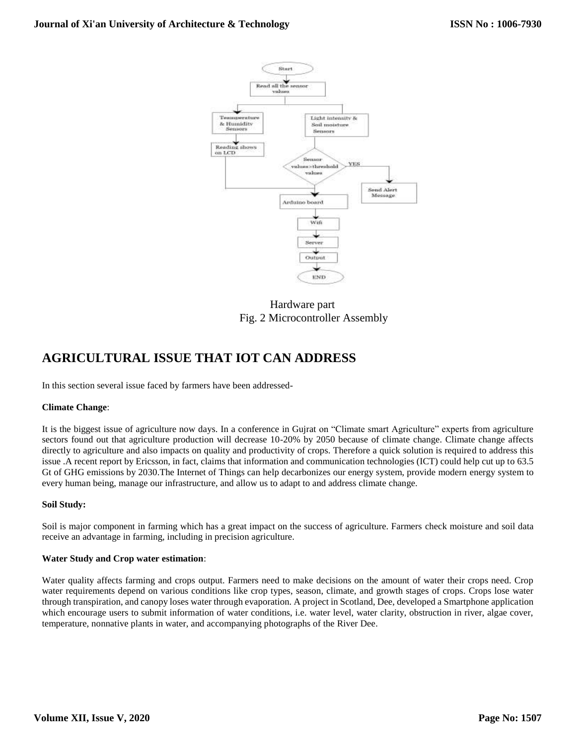

 Hardware part Fig. 2 Microcontroller Assembly

# **AGRICULTURAL ISSUE THAT IOT CAN ADDRESS**

In this section several issue faced by farmers have been addressed-

#### **Climate Change**:

It is the biggest issue of agriculture now days. In a conference in Gujrat on "Climate smart Agriculture" experts from agriculture sectors found out that agriculture production will decrease 10-20% by 2050 because of climate change. Climate change affects directly to agriculture and also impacts on quality and productivity of crops. Therefore a quick solution is required to address this issue .A recent report by Ericsson, in fact, claims that information and communication technologies (ICT) could help cut up to 63.5 Gt of GHG emissions by 2030.The Internet of Things can help decarbonizes our energy system, provide modern energy system to every human being, manage our infrastructure, and allow us to adapt to and address climate change.

#### **Soil Study:**

Soil is major component in farming which has a great impact on the success of agriculture. Farmers check moisture and soil data receive an advantage in farming, including in precision agriculture.

#### **Water Study and Crop water estimation**:

Water quality affects farming and crops output. Farmers need to make decisions on the amount of water their crops need. Crop water requirements depend on various conditions like crop types, season, climate, and growth stages of crops. Crops lose water through transpiration, and canopy loses water through evaporation. A project in Scotland, Dee, developed a Smartphone application which encourage users to submit information of water conditions, i.e. water level, water clarity, obstruction in river, algae cover, temperature, nonnative plants in water, and accompanying photographs of the River Dee.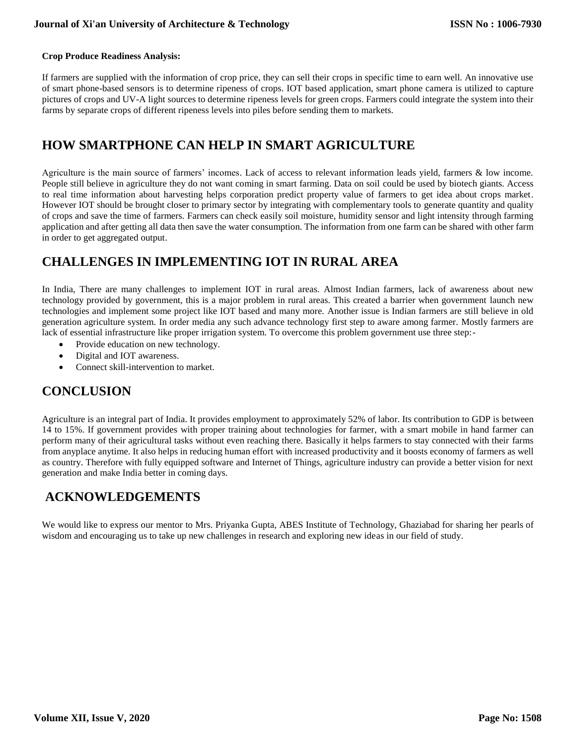#### **Crop Produce Readiness Analysis:**

If farmers are supplied with the information of crop price, they can sell their crops in specific time to earn well. An innovative use of smart phone-based sensors is to determine ripeness of crops. IOT based application, smart phone camera is utilized to capture pictures of crops and UV-A light sources to determine ripeness levels for green crops. Farmers could integrate the system into their farms by separate crops of different ripeness levels into piles before sending them to markets.

### **HOW SMARTPHONE CAN HELP IN SMART AGRICULTURE**

Agriculture is the main source of farmers' incomes. Lack of access to relevant information leads yield, farmers & low income. People still believe in agriculture they do not want coming in smart farming. Data on soil could be used by biotech giants. Access to real time information about harvesting helps corporation predict property value of farmers to get idea about crops market. However IOT should be brought closer to primary sector by integrating with complementary tools to generate quantity and quality of crops and save the time of farmers. Farmers can check easily soil moisture, humidity sensor and light intensity through farming application and after getting all data then save the water consumption. The information from one farm can be shared with other farm in order to get aggregated output.

# **CHALLENGES IN IMPLEMENTING IOT IN RURAL AREA**

In India, There are many challenges to implement IOT in rural areas. Almost Indian farmers, lack of awareness about new technology provided by government, this is a major problem in rural areas. This created a barrier when government launch new technologies and implement some project like IOT based and many more. Another issue is Indian farmers are still believe in old generation agriculture system. In order media any such advance technology first step to aware among farmer. Mostly farmers are lack of essential infrastructure like proper irrigation system. To overcome this problem government use three step:-

- Provide education on new technology.
- Digital and IOT awareness.
- Connect skill-intervention to market.

### **CONCLUSION**

Agriculture is an integral part of India. It provides employment to approximately 52% of labor. Its contribution to GDP is between 14 to 15%. If government provides with proper training about technologies for farmer, with a smart mobile in hand farmer can perform many of their agricultural tasks without even reaching there. Basically it helps farmers to stay connected with their farms from anyplace anytime. It also helps in reducing human effort with increased productivity and it boosts economy of farmers as well as country. Therefore with fully equipped software and Internet of Things, agriculture industry can provide a better vision for next generation and make India better in coming days.

### **ACKNOWLEDGEMENTS**

We would like to express our mentor to Mrs. Priyanka Gupta, ABES Institute of Technology, Ghaziabad for sharing her pearls of wisdom and encouraging us to take up new challenges in research and exploring new ideas in our field of study.